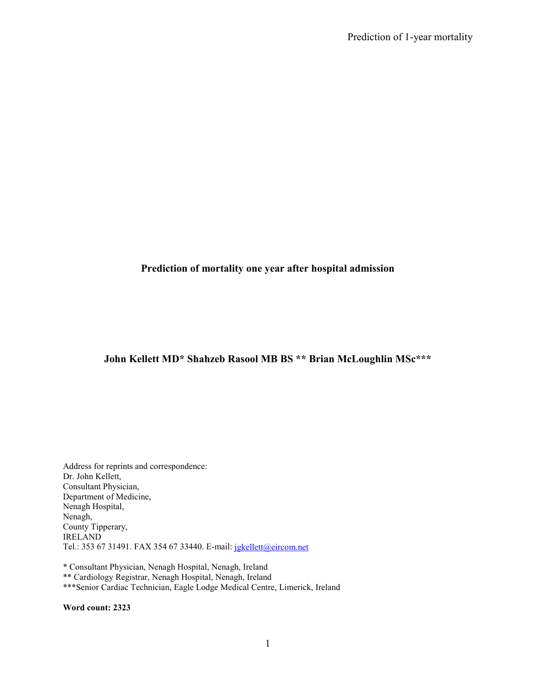### **Prediction of mortality one year after hospital admission**

## **John Kellett MD\* Shahzeb Rasool MB BS \*\* Brian McLoughlin MSc\*\*\***

Address for reprints and correspondence: Dr. John Kellett, Consultant Physician, Department of Medicine, Nenagh Hospital, Nenagh, County Tipperary, IRELAND Tel.: 353 67 31491. FAX 354 67 33440. E-mail: jgkellett@eircom.net

\* Consultant Physician, Nenagh Hospital, Nenagh, Ireland \*\* Cardiology Registrar, Nenagh Hospital, Nenagh, Ireland \*\*\*Senior Cardiac Technician, Eagle Lodge Medical Centre, Limerick, Ireland

**Word count: 2323**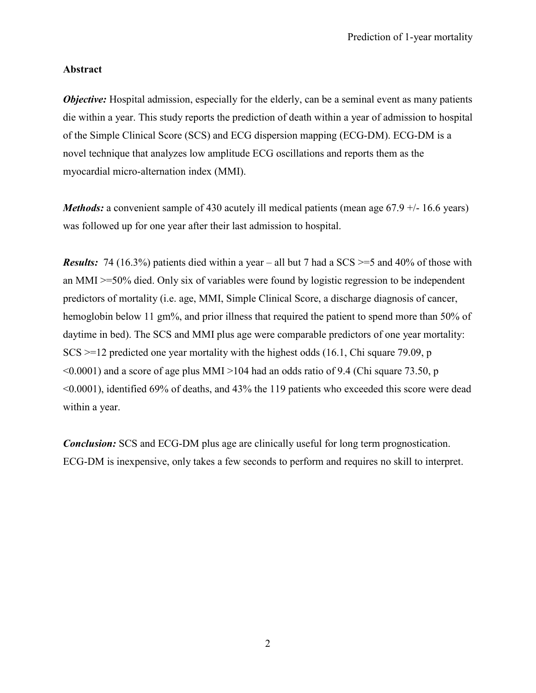### **Abstract**

*Objective:* Hospital admission, especially for the elderly, can be a seminal event as many patients die within a year. This study reports the prediction of death within a year of admission to hospital of the Simple Clinical Score (SCS) and ECG dispersion mapping (ECG-DM). ECG-DM is a novel technique that analyzes low amplitude ECG oscillations and reports them as the myocardial micro-alternation index (MMI).

*Methods:* a convenient sample of 430 acutely ill medical patients (mean age 67.9 +/- 16.6 years) was followed up for one year after their last admission to hospital.

*Results:* 74 (16.3%) patients died within a year – all but 7 had a SCS  $\ge$  =5 and 40% of those with an MMI >=50% died. Only six of variables were found by logistic regression to be independent predictors of mortality (i.e. age, MMI, Simple Clinical Score, a discharge diagnosis of cancer, hemoglobin below 11 gm%, and prior illness that required the patient to spend more than 50% of daytime in bed). The SCS and MMI plus age were comparable predictors of one year mortality:  $SCS \geq 12$  predicted one year mortality with the highest odds (16.1, Chi square 79.09, p  $\leq 0.0001$ ) and a score of age plus MMI  $>$ 104 had an odds ratio of 9.4 (Chi square 73.50, p <0.0001), identified 69% of deaths, and 43% the 119 patients who exceeded this score were dead within a year.

*Conclusion:* SCS and ECG-DM plus age are clinically useful for long term prognostication. ECG-DM is inexpensive, only takes a few seconds to perform and requires no skill to interpret.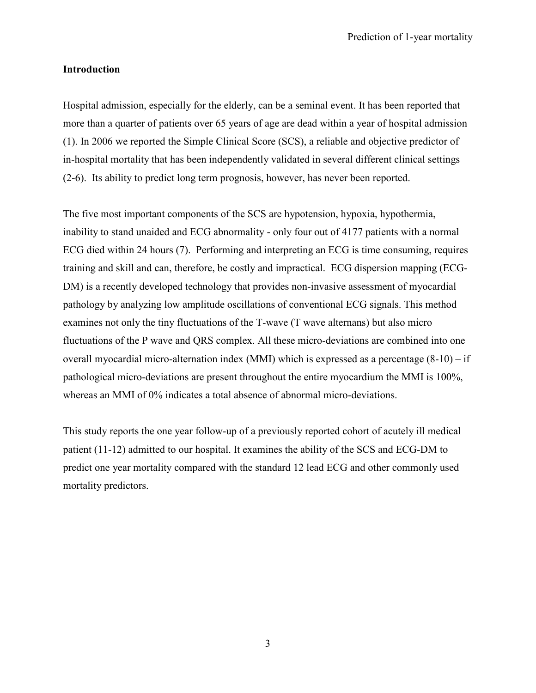#### **Introduction**

Hospital admission, especially for the elderly, can be a seminal event. It has been reported that more than a quarter of patients over 65 years of age are dead within a year of hospital admission (1). In 2006 we reported the Simple Clinical Score (SCS), a reliable and objective predictor of in-hospital mortality that has been independently validated in several different clinical settings (2-6). Its ability to predict long term prognosis, however, has never been reported.

The five most important components of the SCS are hypotension, hypoxia, hypothermia, inability to stand unaided and ECG abnormality - only four out of 4177 patients with a normal ECG died within 24 hours (7). Performing and interpreting an ECG is time consuming, requires training and skill and can, therefore, be costly and impractical. ECG dispersion mapping (ECG-DM) is a recently developed technology that provides non-invasive assessment of myocardial pathology by analyzing low amplitude oscillations of conventional ECG signals. This method examines not only the tiny fluctuations of the T-wave (T wave alternans) but also micro fluctuations of the P wave and QRS complex. All these micro-deviations are combined into one overall myocardial micro-alternation index (MMI) which is expressed as a percentage (8-10) – if pathological micro-deviations are present throughout the entire myocardium the MMI is 100%, whereas an MMI of 0% indicates a total absence of abnormal micro-deviations.

This study reports the one year follow-up of a previously reported cohort of acutely ill medical patient (11-12) admitted to our hospital. It examines the ability of the SCS and ECG-DM to predict one year mortality compared with the standard 12 lead ECG and other commonly used mortality predictors.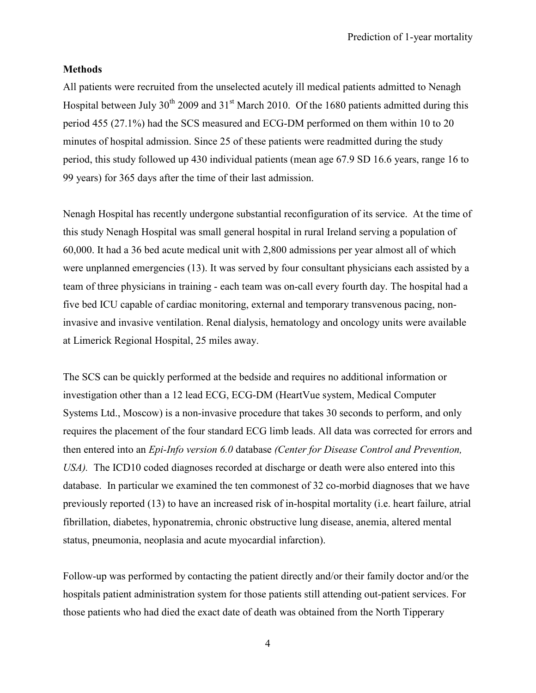### **Methods**

All patients were recruited from the unselected acutely ill medical patients admitted to Nenagh Hospital between July  $30^{th}$  2009 and  $31^{st}$  March 2010. Of the 1680 patients admitted during this period 455 (27.1%) had the SCS measured and ECG-DM performed on them within 10 to 20 minutes of hospital admission. Since 25 of these patients were readmitted during the study period, this study followed up 430 individual patients (mean age 67.9 SD 16.6 years, range 16 to 99 years) for 365 days after the time of their last admission.

Nenagh Hospital has recently undergone substantial reconfiguration of its service. At the time of this study Nenagh Hospital was small general hospital in rural Ireland serving a population of 60,000. It had a 36 bed acute medical unit with 2,800 admissions per year almost all of which were unplanned emergencies (13). It was served by four consultant physicians each assisted by a team of three physicians in training - each team was on-call every fourth day. The hospital had a five bed ICU capable of cardiac monitoring, external and temporary transvenous pacing, noninvasive and invasive ventilation. Renal dialysis, hematology and oncology units were available at Limerick Regional Hospital, 25 miles away.

The SCS can be quickly performed at the bedside and requires no additional information or investigation other than a 12 lead ECG, ECG-DM (HeartVue system, Medical Computer Systems Ltd., Moscow) is a non-invasive procedure that takes 30 seconds to perform, and only requires the placement of the four standard ECG limb leads. All data was corrected for errors and then entered into an *Epi-Info version 6.0* database *(Center for Disease Control and Prevention, USA).* The ICD10 coded diagnoses recorded at discharge or death were also entered into this database. In particular we examined the ten commonest of 32 co-morbid diagnoses that we have previously reported (13) to have an increased risk of in-hospital mortality (i.e. heart failure, atrial fibrillation, diabetes, hyponatremia, chronic obstructive lung disease, anemia, altered mental status, pneumonia, neoplasia and acute myocardial infarction).

Follow-up was performed by contacting the patient directly and/or their family doctor and/or the hospitals patient administration system for those patients still attending out-patient services. For those patients who had died the exact date of death was obtained from the North Tipperary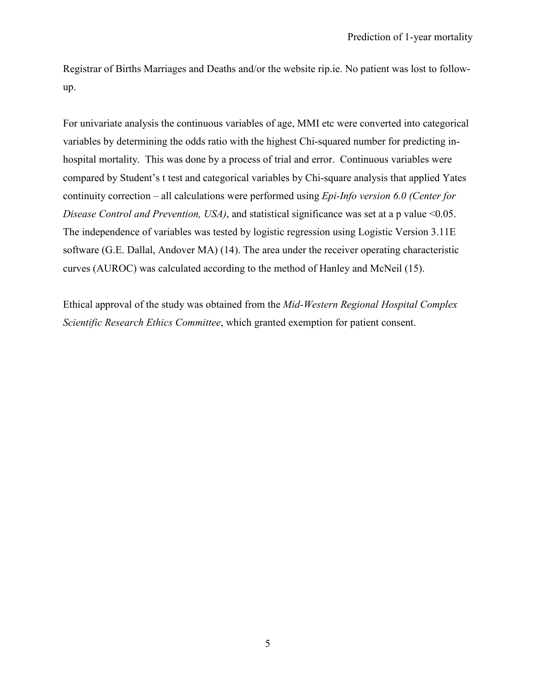Registrar of Births Marriages and Deaths and/or the website rip.ie. No patient was lost to followup.

For univariate analysis the continuous variables of age, MMI etc were converted into categorical variables by determining the odds ratio with the highest Chi-squared number for predicting inhospital mortality. This was done by a process of trial and error. Continuous variables were compared by Student's t test and categorical variables by Chi-square analysis that applied Yates continuity correction – all calculations were performed using *Epi-Info version 6.0 (Center for Disease Control and Prevention, USA)*, and statistical significance was set at a p value <0.05. The independence of variables was tested by logistic regression using Logistic Version 3.11E software (G.E. Dallal, Andover MA) (14). The area under the receiver operating characteristic curves (AUROC) was calculated according to the method of Hanley and McNeil (15).

Ethical approval of the study was obtained from the *Mid-Western Regional Hospital Complex Scientific Research Ethics Committee*, which granted exemption for patient consent.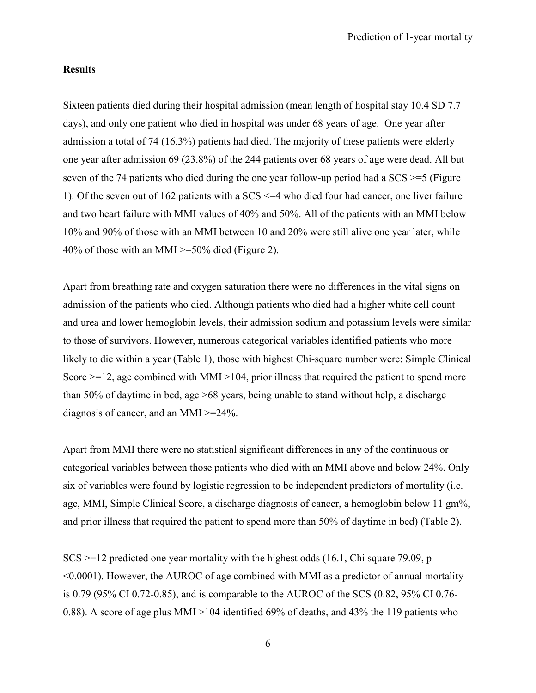#### **Results**

Sixteen patients died during their hospital admission (mean length of hospital stay 10.4 SD 7.7 days), and only one patient who died in hospital was under 68 years of age. One year after admission a total of 74 (16.3%) patients had died. The majority of these patients were elderly – one year after admission 69 (23.8%) of the 244 patients over 68 years of age were dead. All but seven of the 74 patients who died during the one year follow-up period had a SCS  $\geq$ =5 (Figure 1). Of the seven out of 162 patients with a SCS <=4 who died four had cancer, one liver failure and two heart failure with MMI values of 40% and 50%. All of the patients with an MMI below 10% and 90% of those with an MMI between 10 and 20% were still alive one year later, while 40% of those with an MMI  $\geq$ =50% died (Figure 2).

Apart from breathing rate and oxygen saturation there were no differences in the vital signs on admission of the patients who died. Although patients who died had a higher white cell count and urea and lower hemoglobin levels, their admission sodium and potassium levels were similar to those of survivors. However, numerous categorical variables identified patients who more likely to die within a year (Table 1), those with highest Chi-square number were: Simple Clinical Score  $\ge$ =12, age combined with MMI >104, prior illness that required the patient to spend more than 50% of daytime in bed, age >68 years, being unable to stand without help, a discharge diagnosis of cancer, and an MMI >=24%.

Apart from MMI there were no statistical significant differences in any of the continuous or categorical variables between those patients who died with an MMI above and below 24%. Only six of variables were found by logistic regression to be independent predictors of mortality (i.e. age, MMI, Simple Clinical Score, a discharge diagnosis of cancer, a hemoglobin below 11 gm%, and prior illness that required the patient to spend more than 50% of daytime in bed) (Table 2).

 $SCS \geq 12$  predicted one year mortality with the highest odds (16.1, Chi square 79.09, p <0.0001). However, the AUROC of age combined with MMI as a predictor of annual mortality is 0.79 (95% CI 0.72-0.85), and is comparable to the AUROC of the SCS (0.82, 95% CI 0.76- 0.88). A score of age plus MMI >104 identified 69% of deaths, and 43% the 119 patients who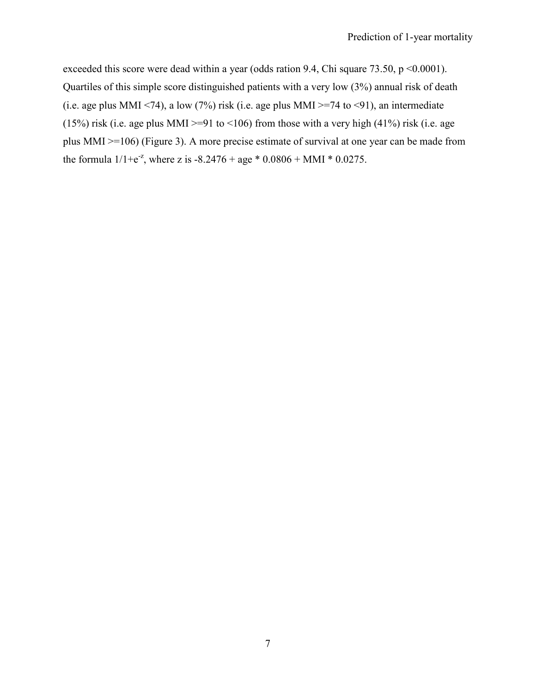exceeded this score were dead within a year (odds ration 9.4, Chi square 73.50, p <0.0001). Quartiles of this simple score distinguished patients with a very low (3%) annual risk of death (i.e. age plus MMI <74), a low (7%) risk (i.e. age plus MMI >=74 to <91), an intermediate (15%) risk (i.e. age plus MMI >=91 to <106) from those with a very high (41%) risk (i.e. age plus MMI >=106) (Figure 3). A more precise estimate of survival at one year can be made from the formula  $1/1+e^{-z}$ , where z is  $-8.2476 + age * 0.0806 + MMI * 0.0275$ .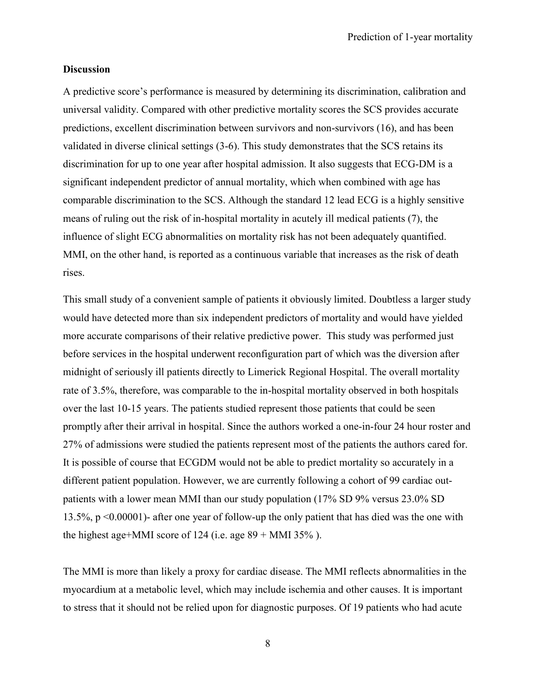#### **Discussion**

A predictive score's performance is measured by determining its discrimination, calibration and universal validity. Compared with other predictive mortality scores the SCS provides accurate predictions, excellent discrimination between survivors and non-survivors (16), and has been validated in diverse clinical settings (3-6). This study demonstrates that the SCS retains its discrimination for up to one year after hospital admission. It also suggests that ECG-DM is a significant independent predictor of annual mortality, which when combined with age has comparable discrimination to the SCS. Although the standard 12 lead ECG is a highly sensitive means of ruling out the risk of in-hospital mortality in acutely ill medical patients (7), the influence of slight ECG abnormalities on mortality risk has not been adequately quantified. MMI, on the other hand, is reported as a continuous variable that increases as the risk of death rises.

This small study of a convenient sample of patients it obviously limited. Doubtless a larger study would have detected more than six independent predictors of mortality and would have yielded more accurate comparisons of their relative predictive power. This study was performed just before services in the hospital underwent reconfiguration part of which was the diversion after midnight of seriously ill patients directly to Limerick Regional Hospital. The overall mortality rate of 3.5%, therefore, was comparable to the in-hospital mortality observed in both hospitals over the last 10-15 years. The patients studied represent those patients that could be seen promptly after their arrival in hospital. Since the authors worked a one-in-four 24 hour roster and 27% of admissions were studied the patients represent most of the patients the authors cared for. It is possible of course that ECGDM would not be able to predict mortality so accurately in a different patient population. However, we are currently following a cohort of 99 cardiac outpatients with a lower mean MMI than our study population (17% SD 9% versus 23.0% SD 13.5%, p <0.00001)- after one year of follow-up the only patient that has died was the one with the highest age+MMI score of 124 (i.e. age  $89 +$  MMI 35%).

The MMI is more than likely a proxy for cardiac disease. The MMI reflects abnormalities in the myocardium at a metabolic level, which may include ischemia and other causes. It is important to stress that it should not be relied upon for diagnostic purposes. Of 19 patients who had acute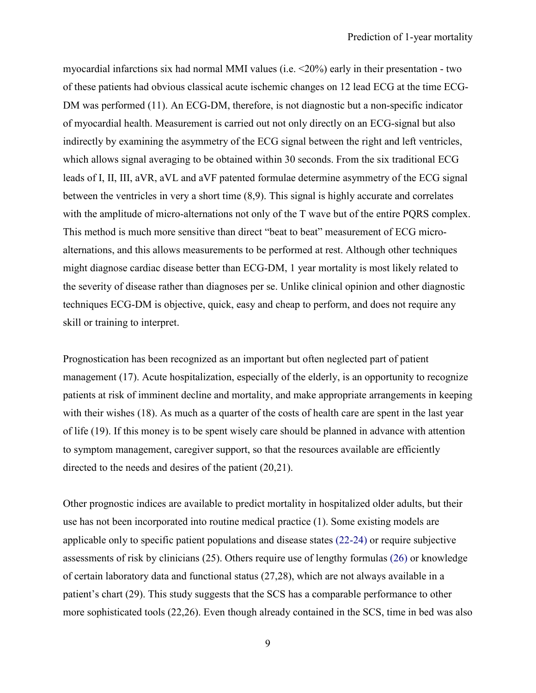myocardial infarctions six had normal MMI values (i.e. <20%) early in their presentation - two of these patients had obvious classical acute ischemic changes on 12 lead ECG at the time ECG-DM was performed (11). An ECG-DM, therefore, is not diagnostic but a non-specific indicator of myocardial health. Measurement is carried out not only directly on an ECG-signal but also indirectly by examining the asymmetry of the ECG signal between the right and left ventricles, which allows signal averaging to be obtained within 30 seconds. From the six traditional ECG leads of I, II, III, aVR, aVL and aVF patented formulae determine asymmetry of the ECG signal between the ventricles in very a short time (8,9). This signal is highly accurate and correlates with the amplitude of micro-alternations not only of the T wave but of the entire PQRS complex. This method is much more sensitive than direct "beat to beat" measurement of ECG microalternations, and this allows measurements to be performed at rest. Although other techniques might diagnose cardiac disease better than ECG-DM, 1 year mortality is most likely related to the severity of disease rather than diagnoses per se. Unlike clinical opinion and other diagnostic techniques ECG-DM is objective, quick, easy and cheap to perform, and does not require any skill or training to interpret.

Prognostication has been recognized as an important but often neglected part of patient management (17). Acute hospitalization, especially of the elderly, is an opportunity to recognize patients at risk of imminent decline and mortality, and make appropriate arrangements in keeping with their wishes (18). As much as a quarter of the costs of health care are spent in the last year of life (19). If this money is to be spent wisely care should be planned in advance with attention to symptom management, caregiver support, so that the resources available are efficiently directed to the needs and desires of the patient (20,21).

Other prognostic indices are available to predict mortality in hospitalized older adults, but their use has not been incorporated into routine medical practice (1). Some existing models are applicable only to specific patient populations and disease states (22-24) or require subjective assessments of risk by clinicians (25). Others require use of lengthy formulas (26) or knowledge of certain laboratory data and functional status (27,28), which are not always available in a patient's chart (29). This study suggests that the SCS has a comparable performance to other more sophisticated tools (22,26). Even though already contained in the SCS, time in bed was also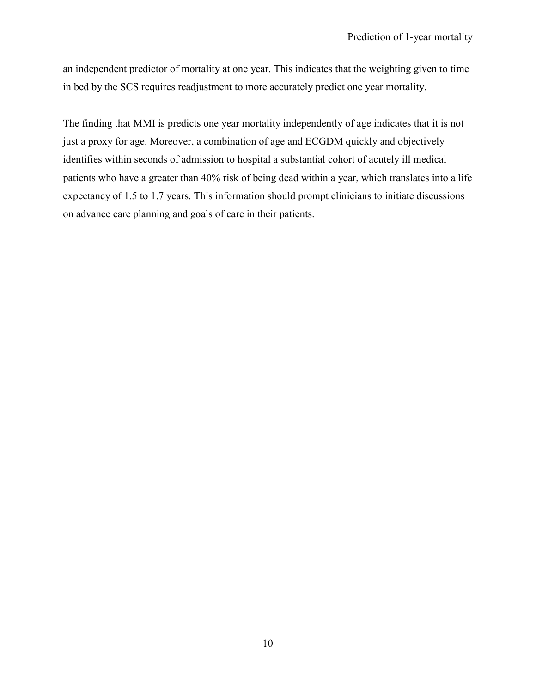an independent predictor of mortality at one year. This indicates that the weighting given to time in bed by the SCS requires readjustment to more accurately predict one year mortality.

The finding that MMI is predicts one year mortality independently of age indicates that it is not just a proxy for age. Moreover, a combination of age and ECGDM quickly and objectively identifies within seconds of admission to hospital a substantial cohort of acutely ill medical patients who have a greater than 40% risk of being dead within a year, which translates into a life expectancy of 1.5 to 1.7 years. This information should prompt clinicians to initiate discussions on advance care planning and goals of care in their patients.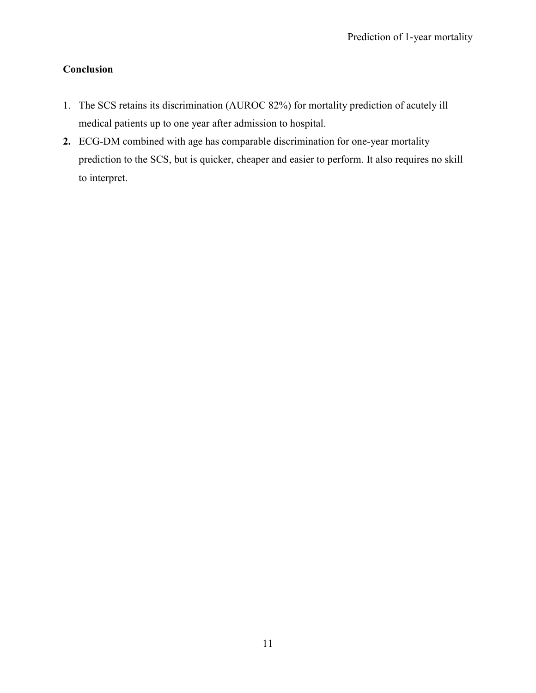# **Conclusion**

- 1. The SCS retains its discrimination (AUROC 82%) for mortality prediction of acutely ill medical patients up to one year after admission to hospital.
- **2.** ECG-DM combined with age has comparable discrimination for one-year mortality prediction to the SCS, but is quicker, cheaper and easier to perform. It also requires no skill to interpret.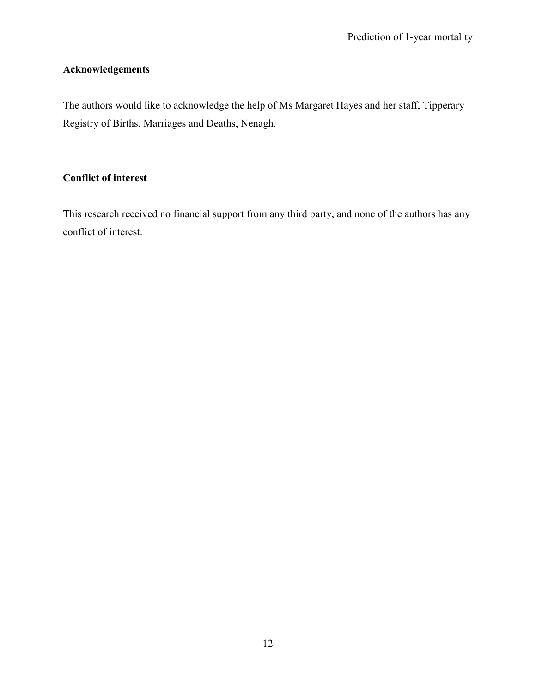# **Acknowledgements**

The authors would like to acknowledge the help of Ms Margaret Hayes and her staff, Tipperary Registry of Births, Marriages and Deaths, Nenagh.

## **Conflict of interest**

This research received no financial support from any third party, and none of the authors has any conflict of interest.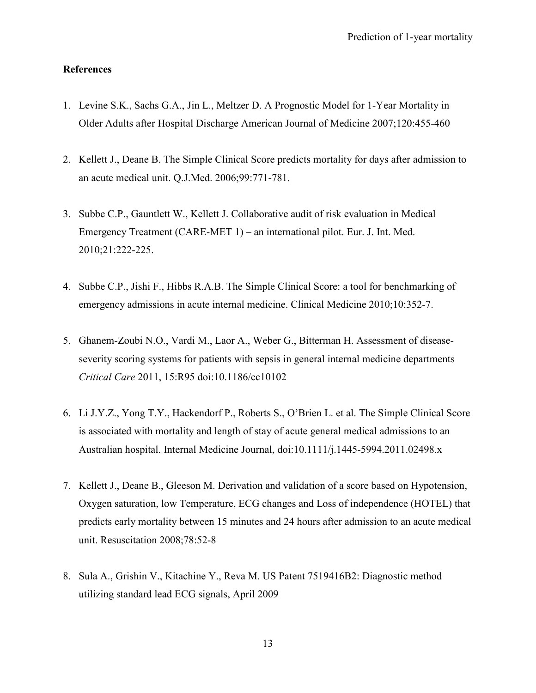### **References**

- 1. Levine S.K., Sachs G.A., Jin L., Meltzer D. A Prognostic Model for 1-Year Mortality in Older Adults after Hospital Discharge American Journal of Medicine 2007;120:455-460
- 2. Kellett J., Deane B. The Simple Clinical Score predicts mortality for days after admission to an acute medical unit. Q.J.Med. 2006;99:771-781.
- 3. Subbe C.P., Gauntlett W., Kellett J. Collaborative audit of risk evaluation in Medical Emergency Treatment (CARE-MET 1) – an international pilot. Eur. J. Int. Med. 2010;21:222-225.
- 4. Subbe C.P., Jishi F., Hibbs R.A.B. The Simple Clinical Score: a tool for benchmarking of emergency admissions in acute internal medicine. Clinical Medicine 2010;10:352-7.
- 5. Ghanem-Zoubi N.O., Vardi M., Laor A., Weber G., Bitterman H. Assessment of diseaseseverity scoring systems for patients with sepsis in general internal medicine departments *Critical Care* 2011, 15:R95 doi:10.1186/cc10102
- 6. Li J.Y.Z., Yong T.Y., Hackendorf P., Roberts S., O'Brien L. et al. The Simple Clinical Score is associated with mortality and length of stay of acute general medical admissions to an Australian hospital. Internal Medicine Journal, doi:10.1111/j.1445-5994.2011.02498.x
- 7. Kellett J., Deane B., Gleeson M. Derivation and validation of a score based on Hypotension, Oxygen saturation, low Temperature, ECG changes and Loss of independence (HOTEL) that predicts early mortality between 15 minutes and 24 hours after admission to an acute medical unit. Resuscitation 2008;78:52-8
- 8. Sula A., Grishin V., Kitachine Y., Reva M. US Patent 7519416B2: Diagnostic method utilizing standard lead ECG signals, April 2009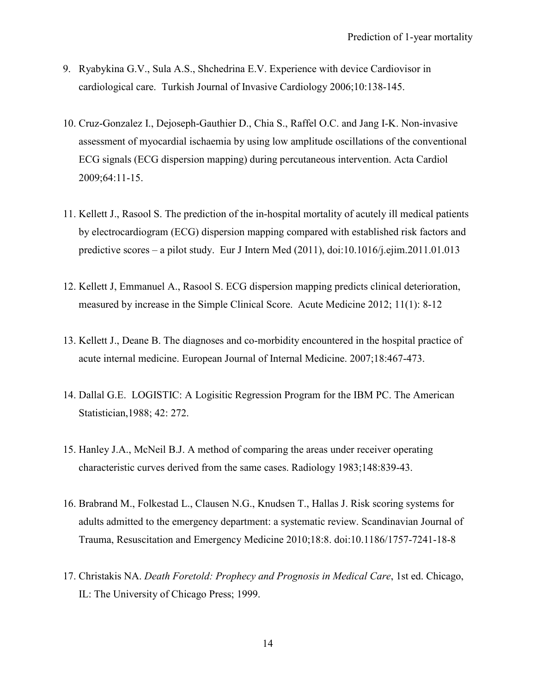- 9. Ryabykina G.V., Sula A.S., Shchedrina E.V. Experience with device Cardiovisor in cardiological care. Turkish Journal of Invasive Cardiology 2006;10:138-145.
- 10. Cruz-Gonzalez I., Dejoseph-Gauthier D., Chia S., Raffel O.C. and Jang I-K. Non-invasive assessment of myocardial ischaemia by using low amplitude oscillations of the conventional ECG signals (ECG dispersion mapping) during percutaneous intervention. Acta Cardiol 2009;64:11-15.
- 11. Kellett J., Rasool S. The prediction of the in-hospital mortality of acutely ill medical patients by electrocardiogram (ECG) dispersion mapping compared with established risk factors and predictive scores – a pilot study. Eur J Intern Med (2011), doi:10.1016/j.ejim.2011.01.013
- 12. Kellett J, Emmanuel A., Rasool S. ECG dispersion mapping predicts clinical deterioration, measured by increase in the Simple Clinical Score. Acute Medicine 2012; 11(1): 8-12
- 13. Kellett J., Deane B. The diagnoses and co-morbidity encountered in the hospital practice of acute internal medicine. European Journal of Internal Medicine. 2007;18:467-473.
- 14. Dallal G.E. LOGISTIC: A Logisitic Regression Program for the IBM PC. The American Statistician,1988; 42: 272.
- 15. Hanley J.A., McNeil B.J. A method of comparing the areas under receiver operating characteristic curves derived from the same cases. Radiology 1983;148:839-43.
- 16. Brabrand M., Folkestad L., Clausen N.G., Knudsen T., Hallas J. Risk scoring systems for adults admitted to the emergency department: a systematic review. Scandinavian Journal of Trauma, Resuscitation and Emergency Medicine 2010;18:8. doi:10.1186/1757-7241-18-8
- 17. Christakis NA. *Death Foretold: Prophecy and Prognosis in Medical Care*, 1st ed. Chicago, IL: The University of Chicago Press; 1999.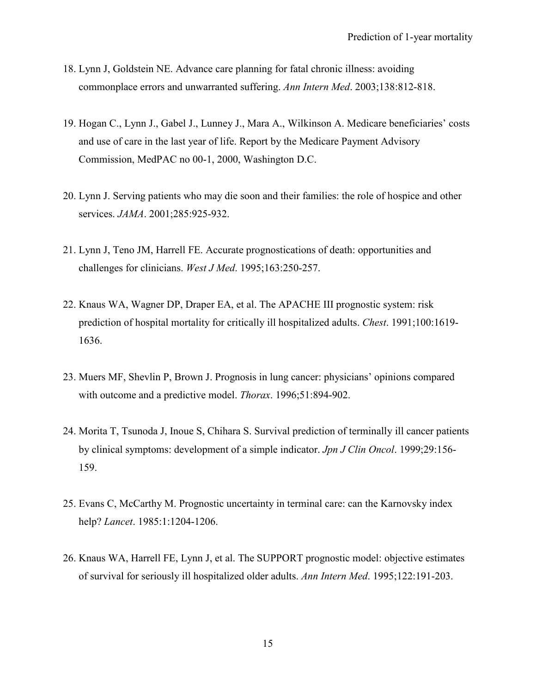- 18. Lynn J, Goldstein NE. Advance care planning for fatal chronic illness: avoiding commonplace errors and unwarranted suffering. *Ann Intern Med*. 2003;138:812-818.
- 19. Hogan C., Lynn J., Gabel J., Lunney J., Mara A., Wilkinson A. Medicare beneficiaries' costs and use of care in the last year of life. Report by the Medicare Payment Advisory Commission, MedPAC no 00-1, 2000, Washington D.C.
- 20. Lynn J. Serving patients who may die soon and their families: the role of hospice and other services. *JAMA*. 2001;285:925-932.
- 21. Lynn J, Teno JM, Harrell FE. Accurate prognostications of death: opportunities and challenges for clinicians. *West J Med*. 1995;163:250-257.
- 22. Knaus WA, Wagner DP, Draper EA, et al. The APACHE III prognostic system: risk prediction of hospital mortality for critically ill hospitalized adults. *Chest*. 1991;100:1619- 1636.
- 23. Muers MF, Shevlin P, Brown J. Prognosis in lung cancer: physicians' opinions compared with outcome and a predictive model. *Thorax*. 1996;51:894-902.
- 24. Morita T, Tsunoda J, Inoue S, Chihara S. Survival prediction of terminally ill cancer patients by clinical symptoms: development of a simple indicator. *Jpn J Clin Oncol*. 1999;29:156- 159.
- 25. Evans C, McCarthy M. Prognostic uncertainty in terminal care: can the Karnovsky index help? *Lancet*. 1985:1:1204-1206.
- 26. Knaus WA, Harrell FE, Lynn J, et al. The SUPPORT prognostic model: objective estimates of survival for seriously ill hospitalized older adults. *Ann Intern Med*. 1995;122:191-203.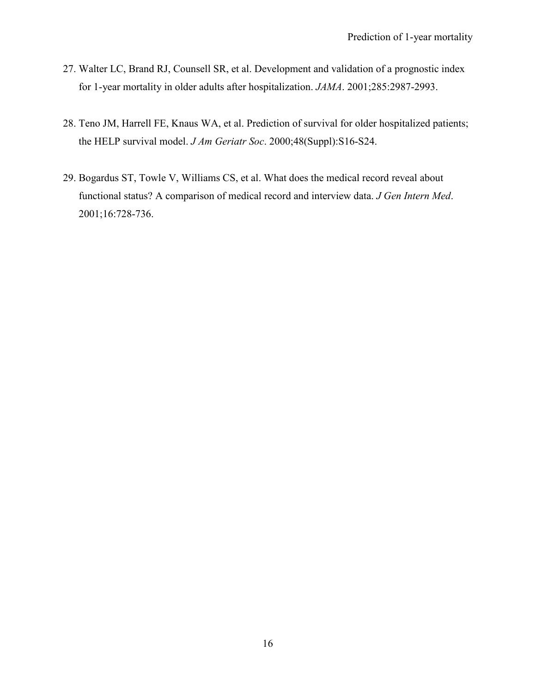- 27. Walter LC, Brand RJ, Counsell SR, et al. Development and validation of a prognostic index for 1-year mortality in older adults after hospitalization. *JAMA*. 2001;285:2987-2993.
- 28. Teno JM, Harrell FE, Knaus WA, et al. Prediction of survival for older hospitalized patients; the HELP survival model. *J Am Geriatr Soc*. 2000;48(Suppl):S16-S24.
- 29. Bogardus ST, Towle V, Williams CS, et al. What does the medical record reveal about functional status? A comparison of medical record and interview data. *J Gen Intern Med*. 2001;16:728-736.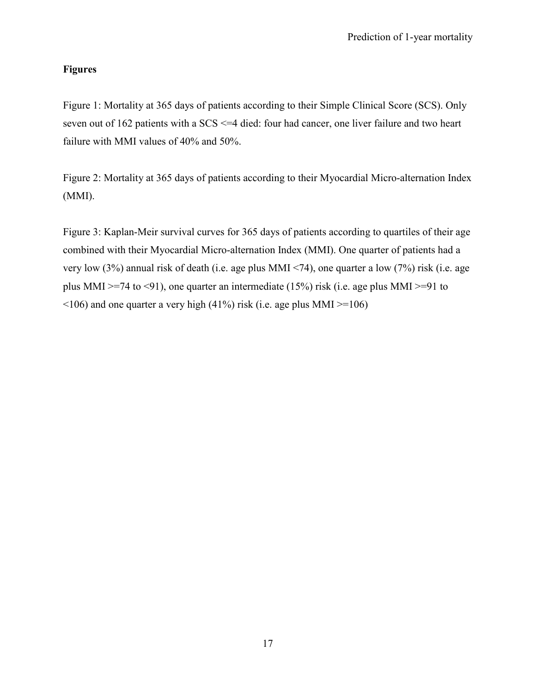## **Figures**

Figure 1: Mortality at 365 days of patients according to their Simple Clinical Score (SCS). Only seven out of 162 patients with a SCS <=4 died: four had cancer, one liver failure and two heart failure with MMI values of 40% and 50%.

Figure 2: Mortality at 365 days of patients according to their Myocardial Micro-alternation Index (MMI).

Figure 3: Kaplan-Meir survival curves for 365 days of patients according to quartiles of their age combined with their Myocardial Micro-alternation Index (MMI). One quarter of patients had a very low (3%) annual risk of death (i.e. age plus MMI <74), one quarter a low (7%) risk (i.e. age plus MMI >=74 to <91), one quarter an intermediate (15%) risk (i.e. age plus MMI >=91 to  $\leq$ 106) and one quarter a very high (41%) risk (i.e. age plus MMI  $\geq$ =106)